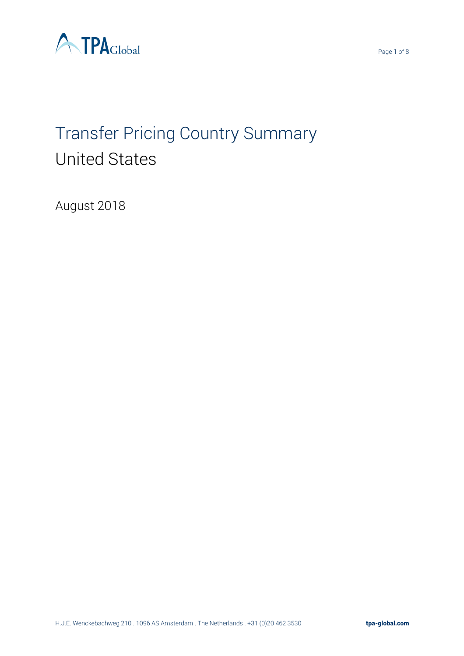

# Transfer Pricing Country Summary United States

August 2018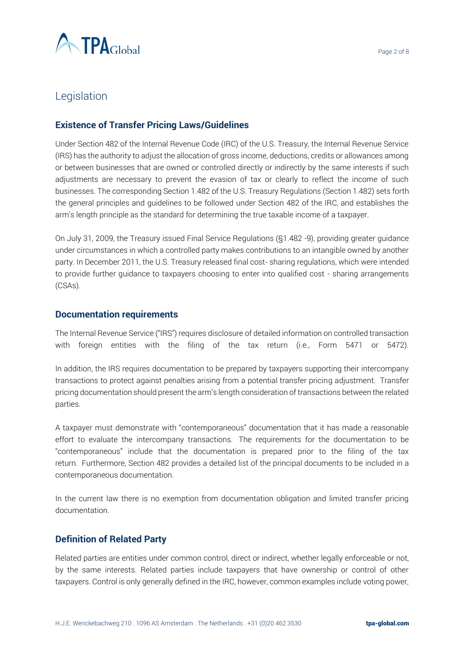

## Legislation

#### **Existence of Transfer Pricing Laws/Guidelines**

Under Section 482 of the Internal Revenue Code (IRC) of the U.S. Treasury, the Internal Revenue Service (IRS) has the authority to adjust the allocation of gross income, deductions, credits or allowances among or between businesses that are owned or controlled directly or indirectly by the same interests if such adjustments are necessary to prevent the evasion of tax or clearly to reflect the income of such businesses. The corresponding Section 1.482 of the U.S. Treasury Regulations (Section 1.482) sets forth the general principles and guidelines to be followed under Section 482 of the IRC, and establishes the arm's length principle as the standard for determining the true taxable income of a taxpayer.

On July 31, 2009, the Treasury issued Final Service Regulations (§1.482 -9), providing greater guidance under circumstances in which a controlled party makes contributions to an intangible owned by another party. In December 2011, the U.S. Treasury released final cost- sharing regulations, which were intended to provide further guidance to taxpayers choosing to enter into qualified cost - sharing arrangements (CSAs).

#### **Documentation requirements**

The Internal Revenue Service ("IRS") requires disclosure of detailed information on controlled transaction with foreign entities with the filing of the tax return (i.e., Form 5471 or 5472).

In addition, the IRS requires documentation to be prepared by taxpayers supporting their intercompany transactions to protect against penalties arising from a potential transfer pricing adjustment. Transfer pricing documentation should present the arm's length consideration of transactions between the related parties.

A taxpayer must demonstrate with "contemporaneous" documentation that it has made a reasonable effort to evaluate the intercompany transactions. The requirements for the documentation to be "contemporaneous" include that the documentation is prepared prior to the filing of the tax return. Furthermore, Section 482 provides a detailed list of the principal documents to be included in a contemporaneous documentation.

In the current law there is no exemption from documentation obligation and limited transfer pricing documentation.

#### **Definition of Related Party**

Related parties are entities under common control, direct or indirect, whether legally enforceable or not, by the same interests. Related parties include taxpayers that have ownership or control of other taxpayers. Control is only generally defined in the IRC, however, common examples include voting power,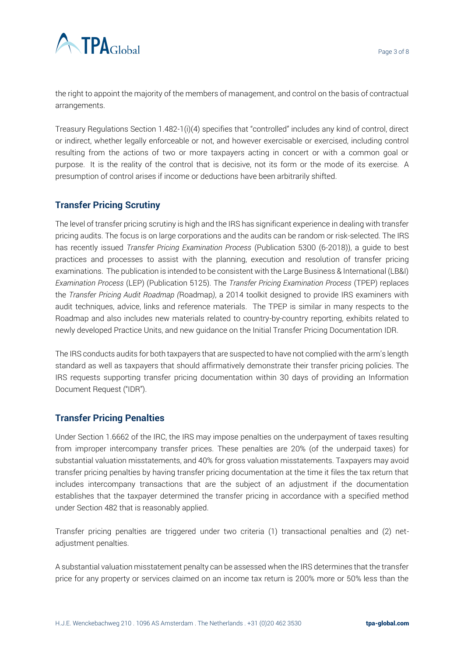

the right to appoint the majority of the members of management, and control on the basis of contractual arrangements.

Treasury Regulations Section 1.482-1(i)(4) specifies that "controlled" includes any kind of control, direct or indirect, whether legally enforceable or not, and however exercisable or exercised, including control resulting from the actions of two or more taxpayers acting in concert or with a common goal or purpose. It is the reality of the control that is decisive, not its form or the mode of its exercise. A presumption of control arises if income or deductions have been arbitrarily shifted.

#### **Transfer Pricing Scrutiny**

The level of transfer pricing scrutiny is high and the IRS has significant experience in dealing with transfer pricing audits. The focus is on large corporations and the audits can be random or risk-selected. The IRS has recently issued *Transfer Pricing Examination Process* (Publication 5300 (6-2018)), a guide to best practices and processes to assist with the planning, execution and resolution of transfer pricing examinations. The publication is intended to be consistent with the Large Business & International (LB&I) *Examination Process* (LEP) (Publication 5125). The *Transfer Pricing Examination Process* (TPEP) replaces the *Transfer Pricing Audit Roadmap (*Roadmap*)*, a 2014 toolkit designed to provide IRS examiners with audit techniques, advice, links and reference materials. The TPEP is similar in many respects to the Roadmap and also includes new materials related to country-by-country reporting, exhibits related to newly developed Practice Units, and new guidance on the Initial Transfer Pricing Documentation IDR.

The IRS conducts audits for both taxpayers that are suspected to have not complied with the arm's length standard as well as taxpayers that should affirmatively demonstrate their transfer pricing policies. The IRS requests supporting transfer pricing documentation within 30 days of providing an Information Document Request ("IDR").

#### **Transfer Pricing Penalties**

Under Section 1.6662 of the IRC, the IRS may impose penalties on the underpayment of taxes resulting from improper intercompany transfer prices. These penalties are 20% (of the underpaid taxes) for substantial valuation misstatements, and 40% for gross valuation misstatements. Taxpayers may avoid transfer pricing penalties by having transfer pricing documentation at the time it files the tax return that includes intercompany transactions that are the subject of an adjustment if the documentation establishes that the taxpayer determined the transfer pricing in accordance with a specified method under Section 482 that is reasonably applied.

Transfer pricing penalties are triggered under two criteria (1) transactional penalties and (2) netadjustment penalties.

A substantial valuation misstatement penalty can be assessed when the IRS determines that the transfer price for any property or services claimed on an income tax return is 200% more or 50% less than the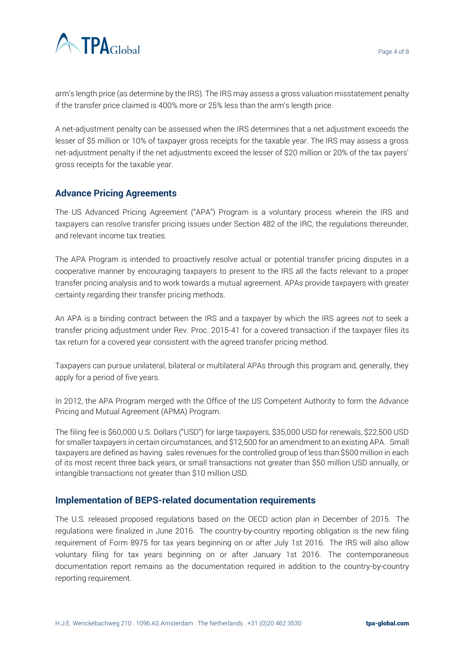

arm's length price (as determine by the IRS). The IRS may assess a gross valuation misstatement penalty if the transfer price claimed is 400% more or 25% less than the arm's length price.

A net-adjustment penalty can be assessed when the IRS determines that a net adjustment exceeds the lesser of \$5 million or 10% of taxpayer gross receipts for the taxable year. The IRS may assess a gross net-adjustment penalty if the net adjustments exceed the lesser of \$20 million or 20% of the tax payers' gross receipts for the taxable year.

#### **Advance Pricing Agreements**

The US Advanced Pricing Agreement ("APA") Program is a voluntary process wherein the IRS and taxpayers can resolve transfer pricing issues under Section 482 of the IRC, the regulations thereunder, and relevant income tax treaties.

The APA Program is intended to proactively resolve actual or potential transfer pricing disputes in a cooperative manner by encouraging taxpayers to present to the IRS all the facts relevant to a proper transfer pricing analysis and to work towards a mutual agreement. APAs provide taxpayers with greater certainty regarding their transfer pricing methods.

An APA is a binding contract between the IRS and a taxpayer by which the IRS agrees not to seek a transfer pricing adjustment under Rev. Proc. 2015-41 for a covered transaction if the taxpayer files its tax return for a covered year consistent with the agreed transfer pricing method.

Taxpayers can pursue unilateral, bilateral or multilateral APAs through this program and, generally, they apply for a period of five years.

In 2012, the APA Program merged with the Office of the US Competent Authority to form the Advance Pricing and Mutual Agreement (APMA) Program.

The filing fee is \$60,000 U.S. Dollars ("USD") for large taxpayers, \$35,000 USD for renewals, \$22,500 USD for smaller taxpayers in certain circumstances, and \$12,500 for an amendment to an existing APA. Small taxpayers are defined as having sales revenues for the controlled group of less than \$500 million in each of its most recent three back years, or small transactions not greater than \$50 million USD annually, or intangible transactions not greater than \$10 million USD.

#### **Implementation of BEPS-related documentation requirements**

The U.S. released proposed regulations based on the OECD action plan in December of 2015. The regulations were finalized in June 2016. The country-by-country reporting obligation is the new filing requirement of Form 8975 for tax years beginning on or after July 1st 2016. The IRS will also allow voluntary filing for tax years beginning on or after January 1st 2016. The contemporaneous documentation report remains as the documentation required in addition to the country-by-country reporting requirement.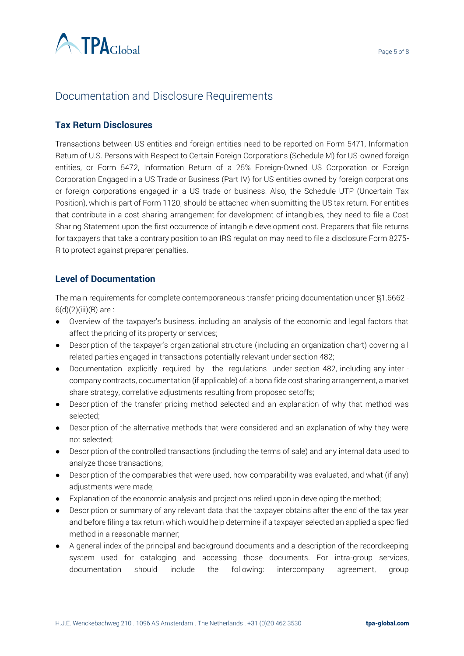

# Documentation and Disclosure Requirements

#### **Tax Return Disclosures**

Transactions between US entities and foreign entities need to be reported on Form 5471, Information Return of U.S. Persons with Respect to Certain Foreign Corporations (Schedule M) for US-owned foreign entities, or Form 5472, Information Return of a 25% Foreign-Owned US Corporation or Foreign Corporation Engaged in a US Trade or Business (Part IV) for US entities owned by foreign corporations or foreign corporations engaged in a US trade or business. Also, the Schedule UTP (Uncertain Tax Position), which is part of Form 1120, should be attached when submitting the US tax return. For entities that contribute in a cost sharing arrangement for development of intangibles, they need to file a Cost Sharing Statement upon the first occurrence of intangible development cost. Preparers that file returns for taxpayers that take a contrary position to an IRS regulation may need to file a disclosure Form 8275- R to protect against preparer penalties.

#### **Level of Documentation**

The main requirements for complete contemporaneous transfer pricing documentation under §1.6662 -  $6(d)(2)(iii)(B)$  are :

- Overview of the taxpayer's business, including an analysis of the economic and legal factors that affect the pricing of its property or services;
- Description of the taxpayer's organizational structure (including an organization chart) covering all related parties engaged in transactions potentially relevant under section 482;
- Documentation explicitly required by the regulations under section 482, including any inter company contracts, documentation (if applicable) of: a bona fide cost sharing arrangement, a market share strategy, correlative adjustments resulting from proposed setoffs;
- Description of the transfer pricing method selected and an explanation of why that method was selected;
- Description of the alternative methods that were considered and an explanation of why they were not selected;
- Description of the controlled transactions (including the terms of sale) and any internal data used to analyze those transactions;
- Description of the comparables that were used, how comparability was evaluated, and what (if any) adjustments were made;
- Explanation of the economic analysis and projections relied upon in developing the method;
- Description or summary of any relevant data that the taxpayer obtains after the end of the tax year and before filing a tax return which would help determine if a taxpayer selected an applied a specified method in a reasonable manner;
- A general index of the principal and background documents and a description of the recordkeeping system used for cataloging and accessing those documents. For intra-group services, documentation should include the following: intercompany agreement, group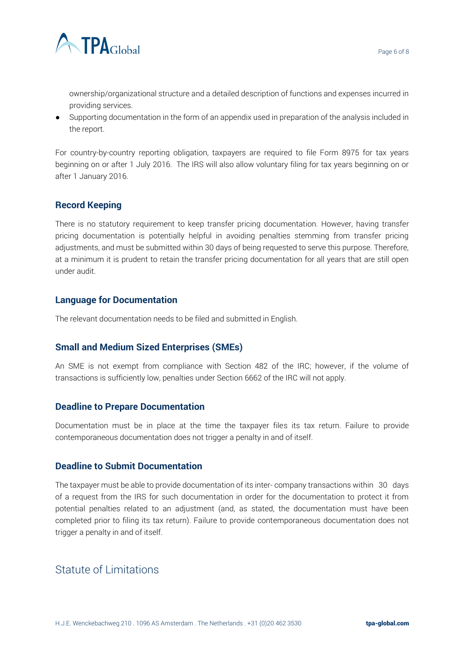

ownership/organizational structure and a detailed description of functions and expenses incurred in providing services.

● Supporting documentation in the form of an appendix used in preparation of the analysis included in the report.

For country-by-country reporting obligation, taxpayers are required to file Form 8975 for tax years beginning on or after 1 July 2016. The IRS will also allow voluntary filing for tax years beginning on or after 1 January 2016.

#### **Record Keeping**

There is no statutory requirement to keep transfer pricing documentation. However, having transfer pricing documentation is potentially helpful in avoiding penalties stemming from transfer pricing adjustments, and must be submitted within 30 days of being requested to serve this purpose. Therefore, at a minimum it is prudent to retain the transfer pricing documentation for all years that are still open under audit.

#### **Language for Documentation**

The relevant documentation needs to be filed and submitted in English.

#### **Small and Medium Sized Enterprises (SMEs)**

An SME is not exempt from compliance with Section 482 of the IRC; however, if the volume of transactions is sufficiently low, penalties under Section 6662 of the IRC will not apply.

#### **Deadline to Prepare Documentation**

Documentation must be in place at the time the taxpayer files its tax return. Failure to provide contemporaneous documentation does not trigger a penalty in and of itself.

#### **Deadline to Submit Documentation**

The taxpayer must be able to provide documentation of its inter- company transactions within 30 days of a request from the IRS for such documentation in order for the documentation to protect it from potential penalties related to an adjustment (and, as stated, the documentation must have been completed prior to filing its tax return). Failure to provide contemporaneous documentation does not trigger a penalty in and of itself.

## Statute of Limitations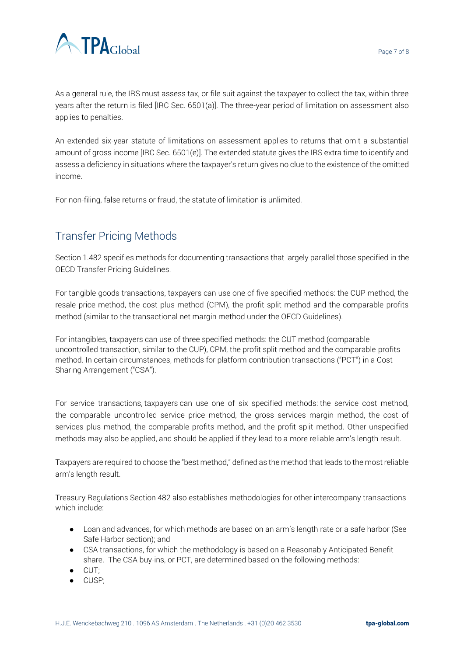

As a general rule, the IRS must assess tax, or file suit against the taxpayer to collect the tax, within three years after the return is filed [IRC Sec. 6501(a)]. The three-year period of limitation on assessment also applies to penalties.

An extended six-year statute of limitations on assessment applies to returns that omit a substantial amount of gross income [IRC Sec. 6501(e)]. The extended statute gives the IRS extra time to identify and assess a deficiency in situations where the taxpayer's return gives no clue to the existence of the omitted income.

For non-filing, false returns or fraud, the statute of limitation is unlimited.

# Transfer Pricing Methods

Section 1.482 specifies methods for documenting transactions that largely parallel those specified in the OECD Transfer Pricing Guidelines.

For tangible goods transactions, taxpayers can use one of five specified methods: the CUP method, the resale price method, the cost plus method (CPM), the profit split method and the comparable profits method (similar to the transactional net margin method under the OECD Guidelines).

For intangibles, taxpayers can use of three specified methods: the CUT method (comparable uncontrolled transaction, similar to the CUP), CPM, the profit split method and the comparable profits method. In certain circumstances, methods for platform contribution transactions ("PCT") in a Cost Sharing Arrangement ("CSA").

For service transactions, taxpayers can use one of six specified methods: the service cost method, the comparable uncontrolled service price method, the gross services margin method, the cost of services plus method, the comparable profits method, and the profit split method. Other unspecified methods may also be applied, and should be applied if they lead to a more reliable arm's length result.

Taxpayers are required to choose the "best method," defined as the method that leads to the most reliable arm's length result.

Treasury Regulations Section 482 also establishes methodologies for other intercompany transactions which include:

- Loan and advances, for which methods are based on an arm's length rate or a safe harbor (See Safe Harbor section); and
- CSA transactions, for which the methodology is based on a Reasonably Anticipated Benefit share. The CSA buy-ins, or PCT, are determined based on the following methods:
- CUT;
- CUSP;